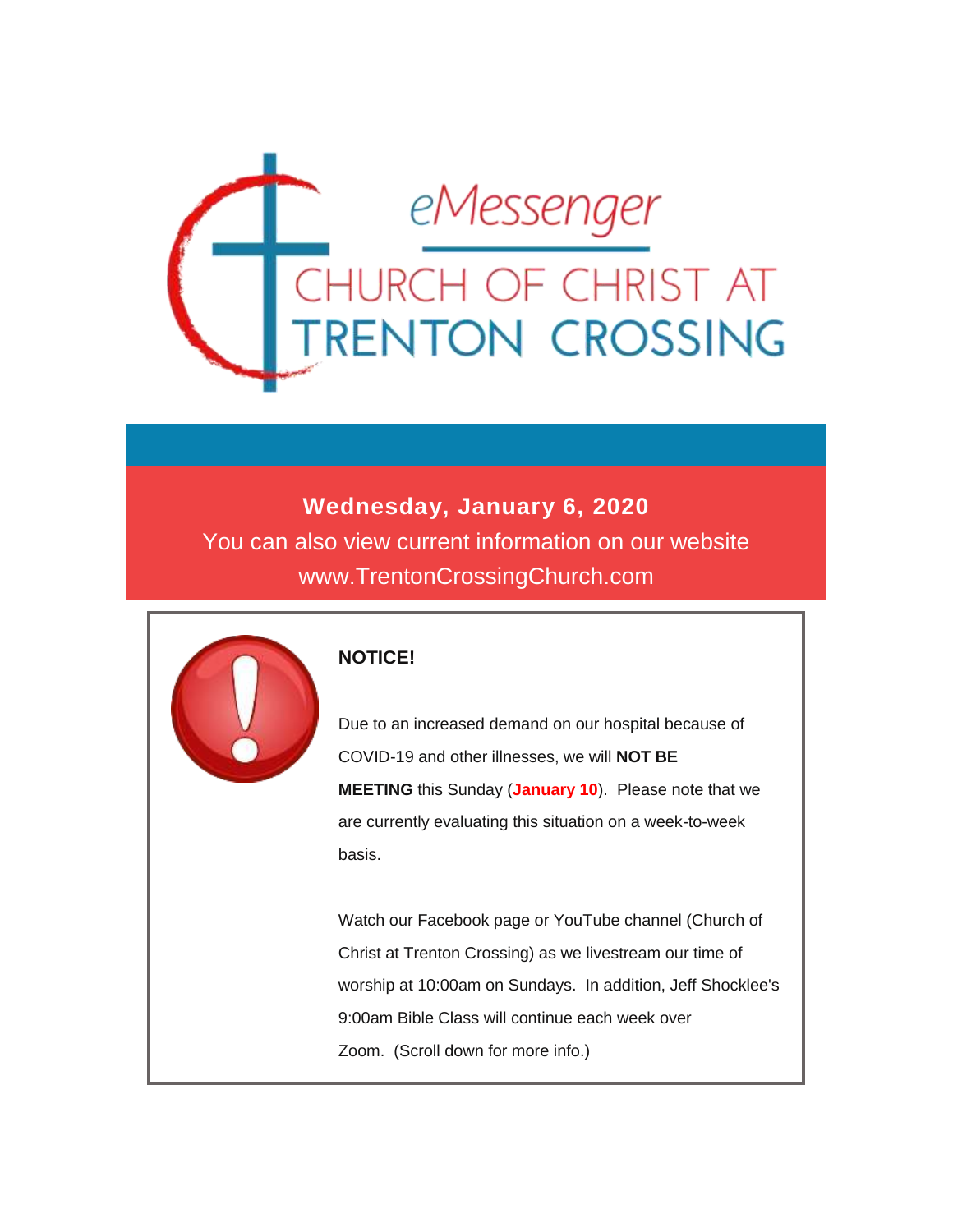

### **Wednesday, January 6, 2020**

You can also view current information on our website www.TrentonCrossingChurch.com



#### **NOTICE!**

Due to an increased demand on our hospital because of COVID-19 and other illnesses, we will **NOT BE MEETING** this Sunday (**January 10**). Please note that we are currently evaluating this situation on a week-to-week basis.

Watch our Facebook page or YouTube channel (Church of Christ at Trenton Crossing) as we livestream our time of worship at 10:00am on Sundays. In addition, Jeff Shocklee's 9:00am Bible Class will continue each week over Zoom. (Scroll down for more info.)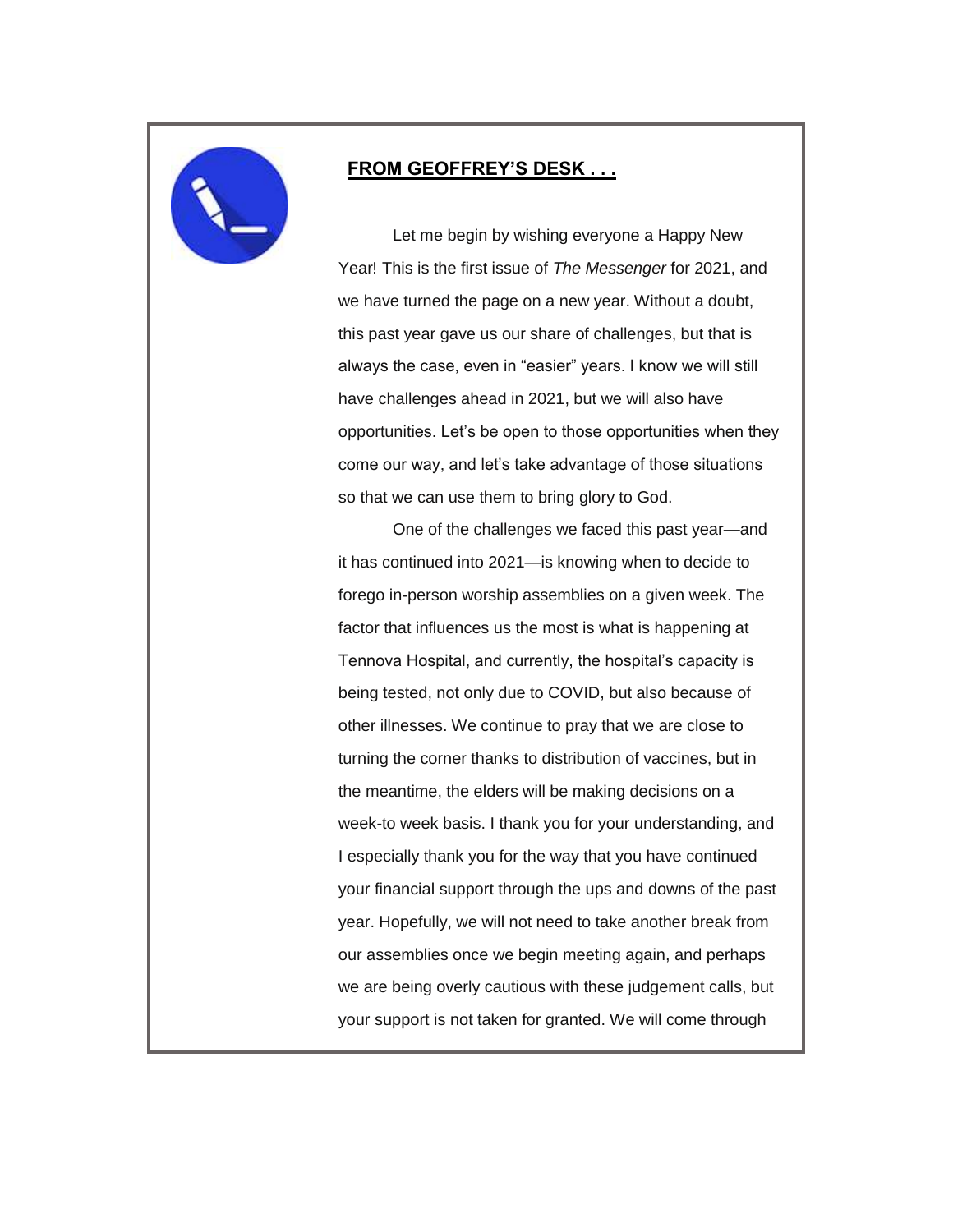

#### **FROM GEOFFREY'S DESK . . .**

 Let me begin by wishing everyone a Happy New Year! This is the first issue of *The Messenger* for 2021, and we have turned the page on a new year. Without a doubt, this past year gave us our share of challenges, but that is always the case, even in "easier" years. I know we will still have challenges ahead in 2021, but we will also have opportunities. Let's be open to those opportunities when they come our way, and let's take advantage of those situations so that we can use them to bring glory to God.

 One of the challenges we faced this past year—and it has continued into 2021—is knowing when to decide to forego in-person worship assemblies on a given week. The factor that influences us the most is what is happening at Tennova Hospital, and currently, the hospital's capacity is being tested, not only due to COVID, but also because of other illnesses. We continue to pray that we are close to turning the corner thanks to distribution of vaccines, but in the meantime, the elders will be making decisions on a week-to week basis. I thank you for your understanding, and I especially thank you for the way that you have continued your financial support through the ups and downs of the past year. Hopefully, we will not need to take another break from our assemblies once we begin meeting again, and perhaps we are being overly cautious with these judgement calls, but your support is not taken for granted. We will come through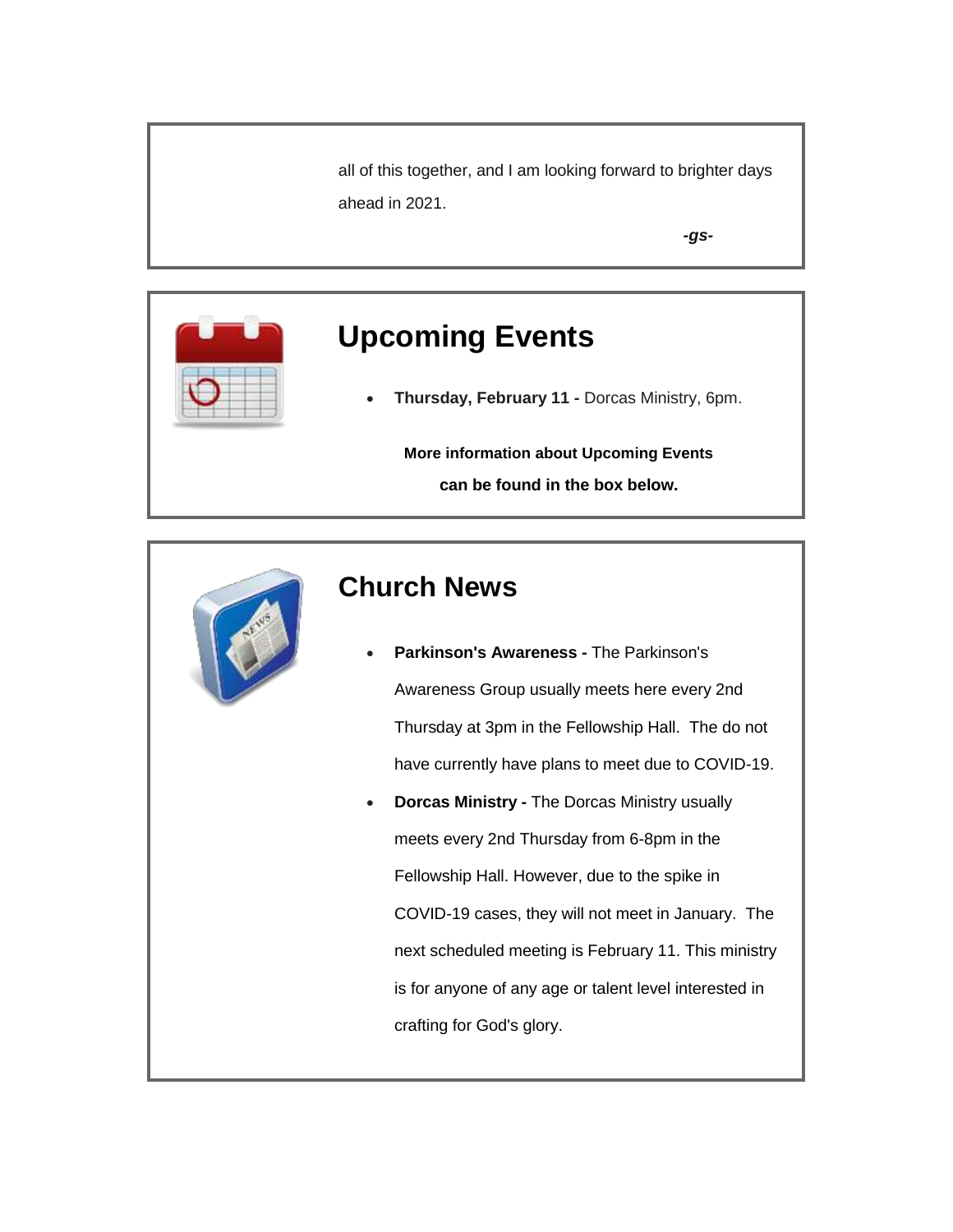all of this together, and I am looking forward to brighter days ahead in 2021.

*-gs-*



**Thursday, February 11 -** Dorcas Ministry, 6pm.

**More information about Upcoming Events can be found in the box below.**



## **Church News**

- **Parkinson's Awareness -** The Parkinson's Awareness Group usually meets here every 2nd Thursday at 3pm in the Fellowship Hall. The do not have currently have plans to meet due to COVID-19.
- **Dorcas Ministry -** The Dorcas Ministry usually meets every 2nd Thursday from 6-8pm in the Fellowship Hall. However, due to the spike in COVID-19 cases, they will not meet in January. The next scheduled meeting is February 11. This ministry is for anyone of any age or talent level interested in crafting for God's glory.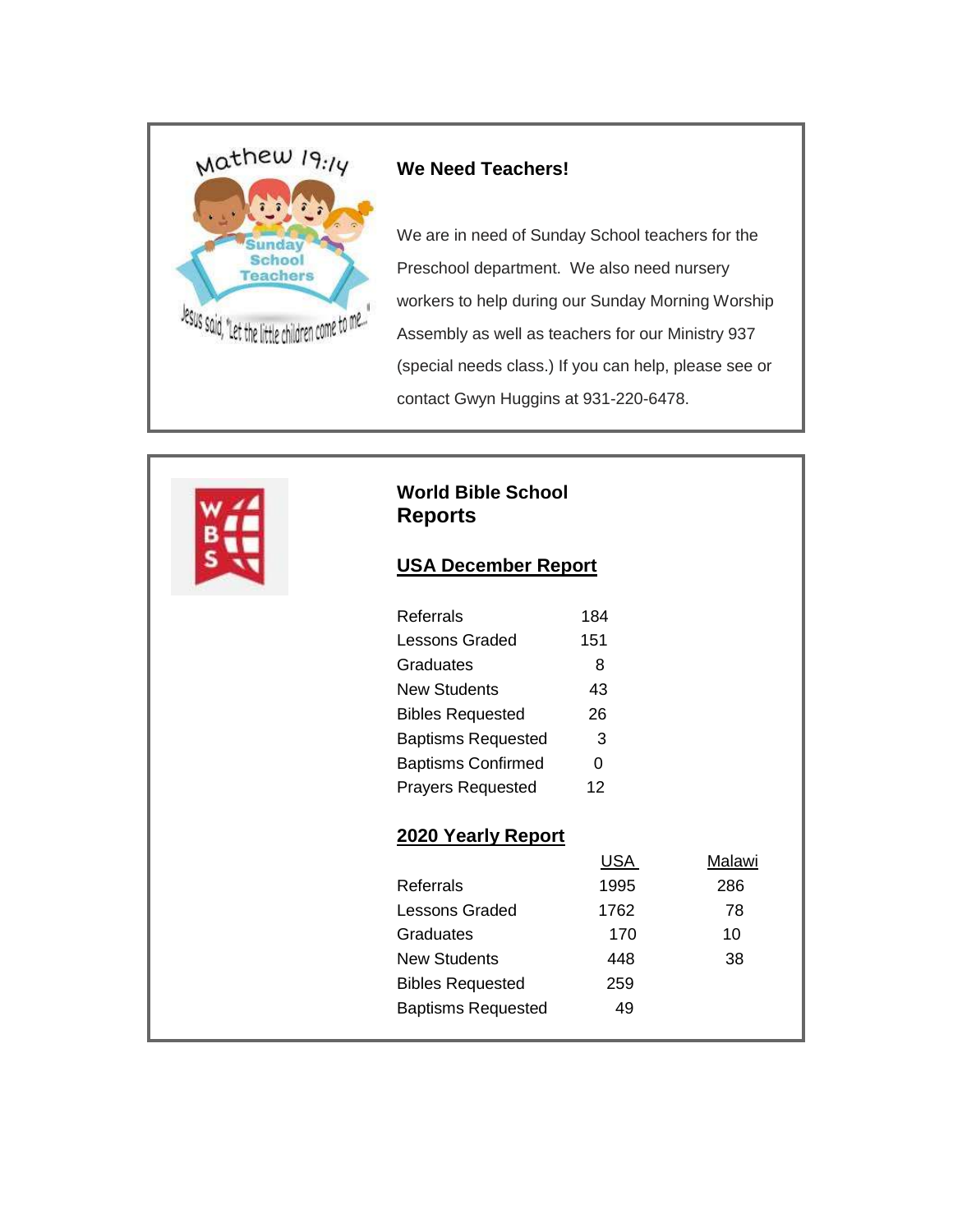

#### **We Need Teachers!**

We are in need of Sunday School teachers for the Preschool department. We also need nursery workers to help during our Sunday Morning Worship Assembly as well as teachers for our Ministry 937 (special needs class.) If you can help, please see or contact Gwyn Huggins at 931-220-6478.



#### **World Bible School Reports**

#### **USA December Report**

| Referrals                 | 184 |
|---------------------------|-----|
| <b>Lessons Graded</b>     | 151 |
| Graduates                 | 8   |
| <b>New Students</b>       | 43  |
| <b>Bibles Requested</b>   | 26  |
| <b>Baptisms Requested</b> | 3   |
| <b>Baptisms Confirmed</b> | ი   |
| <b>Prayers Requested</b>  | 12  |

#### **2020 Yearly Report**

|                           | USA  | Malawi |
|---------------------------|------|--------|
| Referrals                 | 1995 | 286    |
| Lessons Graded            | 1762 | 78     |
| Graduates                 | 170  | 10     |
| <b>New Students</b>       | 448  | 38     |
| <b>Bibles Requested</b>   | 259  |        |
| <b>Baptisms Requested</b> | 49   |        |
|                           |      |        |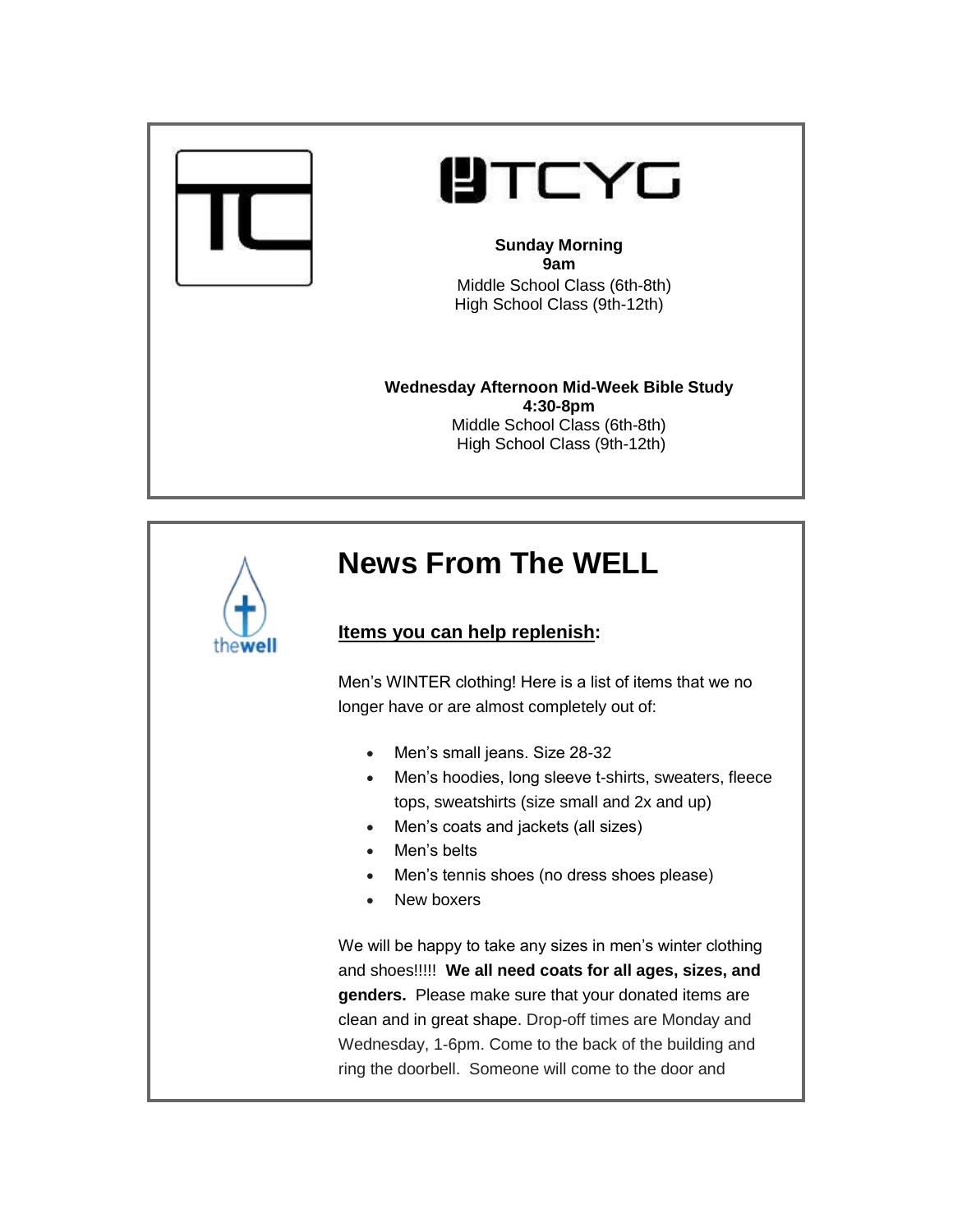

# **UTCYG**

#### **Sunday Morning 9am** Middle School Class (6th-8th)

High School Class (9th-12th)

**Wednesday Afternoon Mid-Week Bible Study 4:30-8pm** Middle School Class (6th-8th) High School Class (9th-12th)

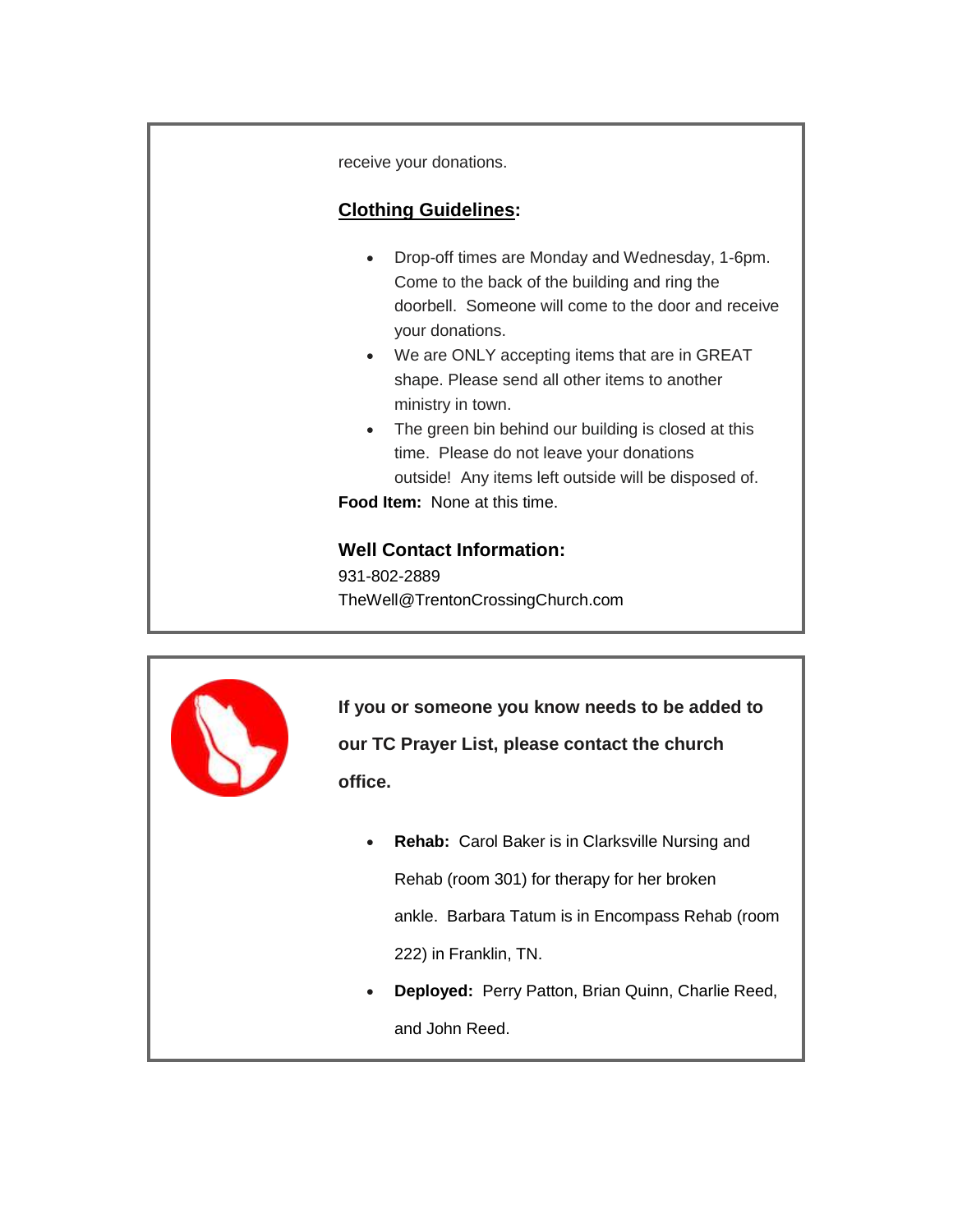receive your donations.

#### **Clothing Guidelines:**

- Drop-off times are Monday and Wednesday, 1-6pm. Come to the back of the building and ring the doorbell. Someone will come to the door and receive your donations.
- We are ONLY accepting items that are in GREAT shape. Please send all other items to another ministry in town.
- The green bin behind our building is closed at this time. Please do not leave your donations outside! Any items left outside will be disposed of.

**Food Item:** None at this time.

#### **Well Contact Information:**

931-802-2889 TheWell@TrentonCrossingChurch.com



**If you or someone you know needs to be added to our TC Prayer List, please contact the church office.**

- **Rehab:** Carol Baker is in Clarksville Nursing and Rehab (room 301) for therapy for her broken ankle. Barbara Tatum is in Encompass Rehab (room 222) in Franklin, TN.
- **Deployed:** Perry Patton, Brian Quinn, Charlie Reed, and John Reed.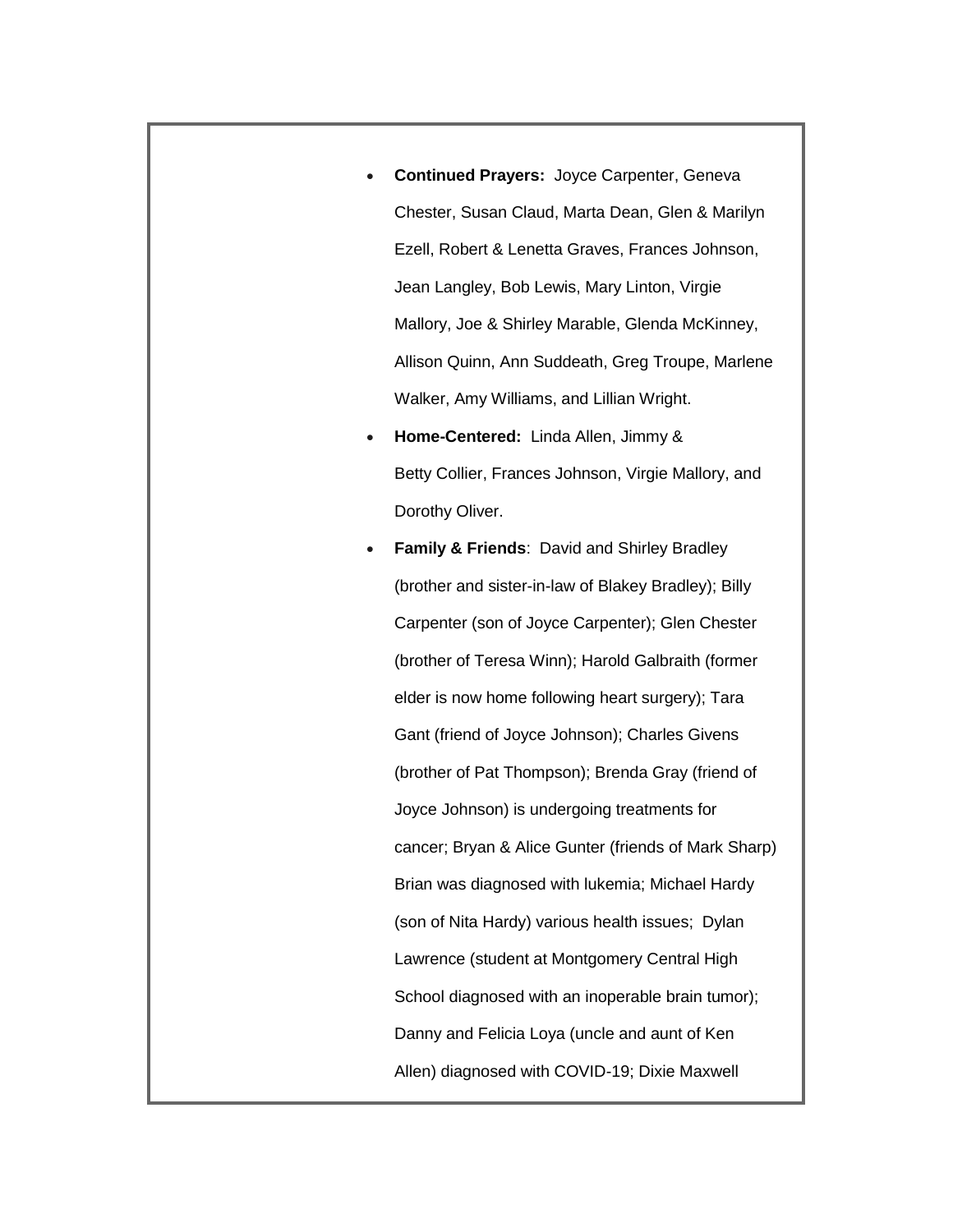- **Continued Prayers:** Joyce Carpenter, Geneva Chester, Susan Claud, Marta Dean, Glen & Marilyn Ezell, Robert & Lenetta Graves, Frances Johnson, Jean Langley, Bob Lewis, Mary Linton, Virgie Mallory, Joe & Shirley Marable, Glenda McKinney, Allison Quinn, Ann Suddeath, Greg Troupe, Marlene Walker, Amy Williams, and Lillian Wright.
- **Home-Centered:** Linda Allen, Jimmy & Betty Collier, Frances Johnson, Virgie Mallory, and Dorothy Oliver.
- **Family & Friends**: David and Shirley Bradley (brother and sister-in-law of Blakey Bradley); Billy Carpenter (son of Joyce Carpenter); Glen Chester (brother of Teresa Winn); Harold Galbraith (former elder is now home following heart surgery); Tara Gant (friend of Joyce Johnson); Charles Givens (brother of Pat Thompson); Brenda Gray (friend of Joyce Johnson) is undergoing treatments for cancer; Bryan & Alice Gunter (friends of Mark Sharp) Brian was diagnosed with lukemia; Michael Hardy (son of Nita Hardy) various health issues; Dylan Lawrence (student at Montgomery Central High School diagnosed with an inoperable brain tumor); Danny and Felicia Loya (uncle and aunt of Ken Allen) diagnosed with COVID-19; Dixie Maxwell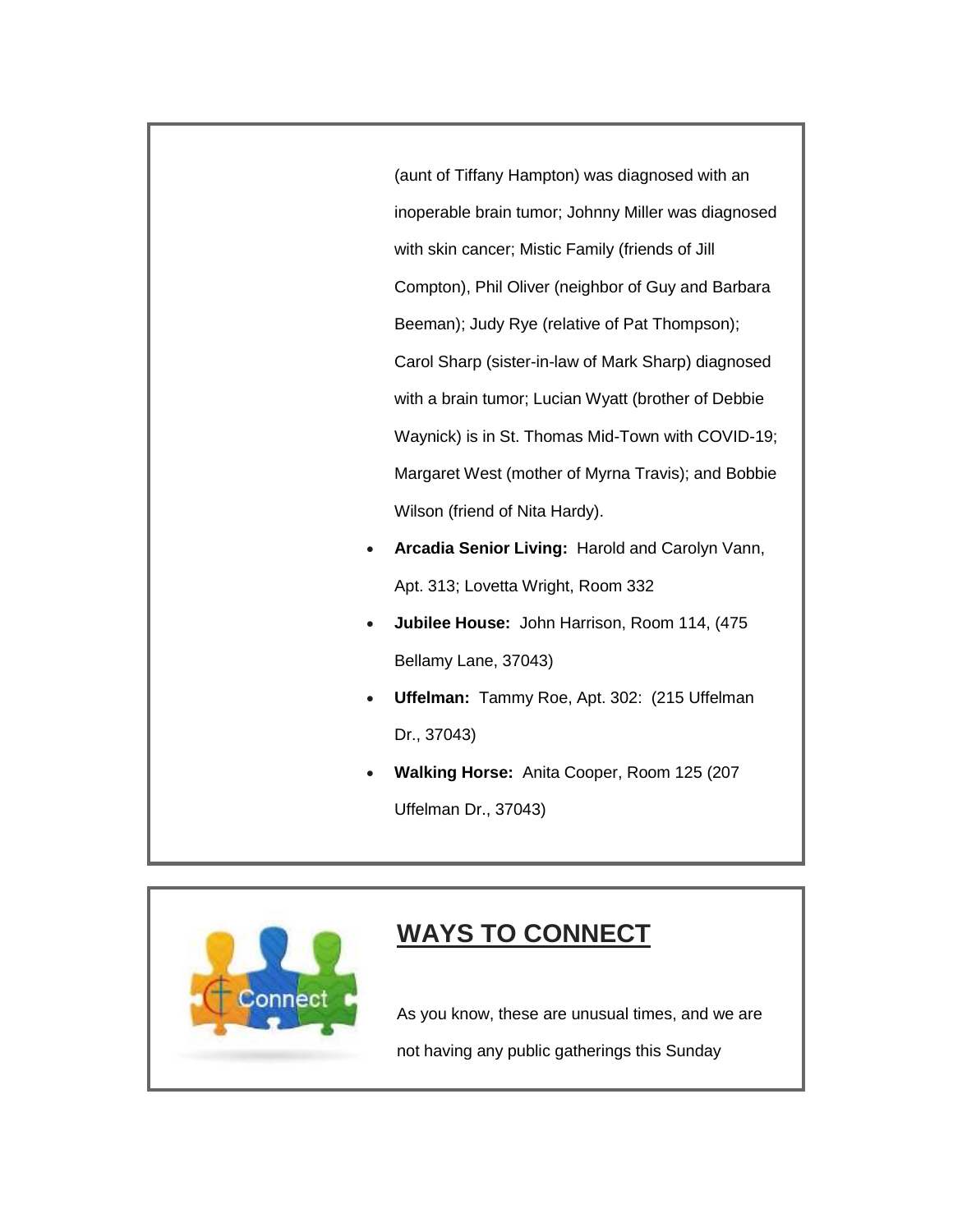(aunt of Tiffany Hampton) was diagnosed with an inoperable brain tumor; Johnny Miller was diagnosed with skin cancer; Mistic Family (friends of Jill Compton), Phil Oliver (neighbor of Guy and Barbara Beeman); Judy Rye (relative of Pat Thompson); Carol Sharp (sister-in-law of Mark Sharp) diagnosed with a brain tumor; Lucian Wyatt (brother of Debbie Waynick) is in St. Thomas Mid-Town with COVID-19; Margaret West (mother of Myrna Travis); and Bobbie Wilson (friend of Nita Hardy).

- **Arcadia Senior Living:** Harold and Carolyn Vann, Apt. 313; Lovetta Wright, Room 332
- **Jubilee House:** John Harrison, Room 114, (475 Bellamy Lane, 37043)
- **Uffelman:** Tammy Roe, Apt. 302: (215 Uffelman Dr., 37043)
- **Walking Horse:** Anita Cooper, Room 125 (207 Uffelman Dr., 37043)



## **WAYS TO CONNECT**

As you know, these are unusual times, and we are not having any public gatherings this Sunday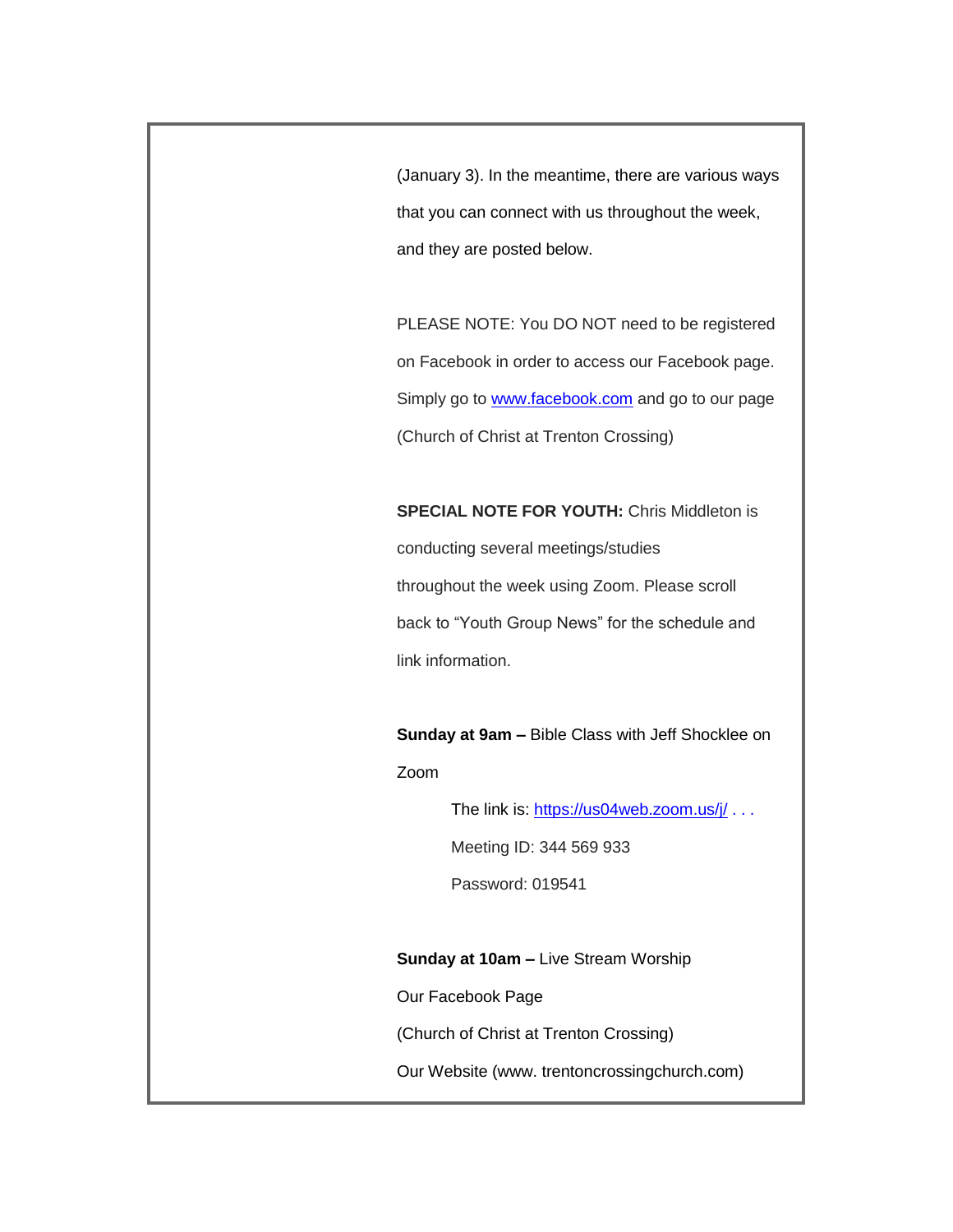(January 3). In the meantime, there are various ways that you can connect with us throughout the week, and they are posted below.

PLEASE NOTE: You DO NOT need to be registered on Facebook in order to access our Facebook page. Simply go to [www.facebook.com](http://www.facebook.com/) and go to our page (Church of Christ at Trenton Crossing)

**SPECIAL NOTE FOR YOUTH:** Chris Middleton is conducting several meetings/studies throughout the week using Zoom. Please scroll back to "Youth Group News" for the schedule and link information.

**Sunday at 9am –** Bible Class with Jeff Shocklee on Zoom

The link is: <https://us04web.zoom.us/j/> . . .

Meeting ID: 344 569 933

Password: 019541

**Sunday at 10am –** Live Stream Worship

Our Facebook Page

(Church of Christ at Trenton Crossing)

Our Website (www. trentoncrossingchurch.com)